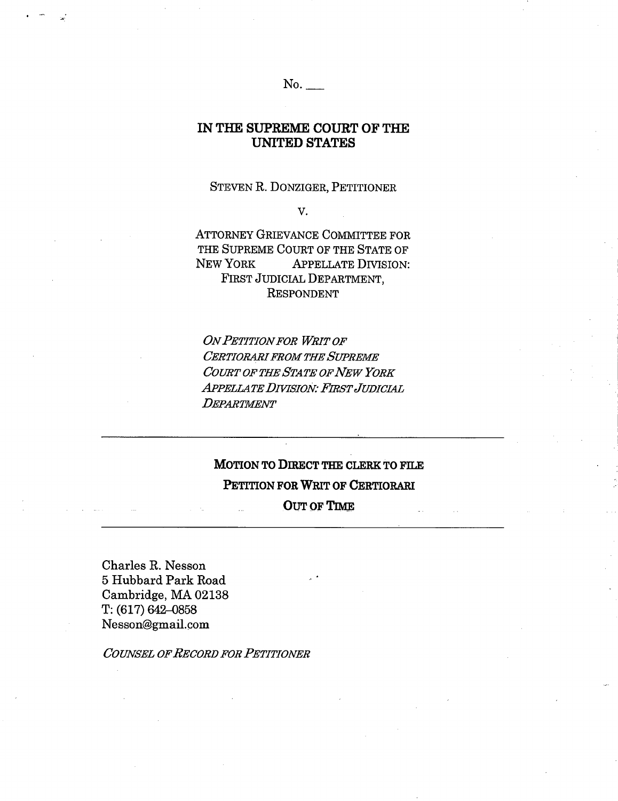### $No.$

## IN THE SUPREME COURT OF THE **UNITED STATES**

#### STEVEN R. DONZIGER, PETITIONER

V.

**ATTORNEY GRIEVANCE COMMITTEE FOR** THE SUPREME COURT OF THE STATE OF NEW YORK APPELLATE DIVISION: FIRST JUDICIAL DEPARTMENT. **RESPONDENT** 

**ON PETITION FOR WRIT OF CERTIORARI FROM THE SUPREME** COURT OF THE STATE OF NEW YORK **APPELLATE DIVISION: FIRST JUDICIAL** DEPARTMENT

# MOTION TO DIRECT THE CLERK TO FILE PETITION FOR WRIT OF CERTIORARI **OUT OF TIME**

Charles R. Nesson 5 Hubbard Park Road Cambridge, MA 02138  $T: (617) 642 - 0858$ Nesson@gmail.com

**COUNSEL OF RECORD FOR PETITIONER**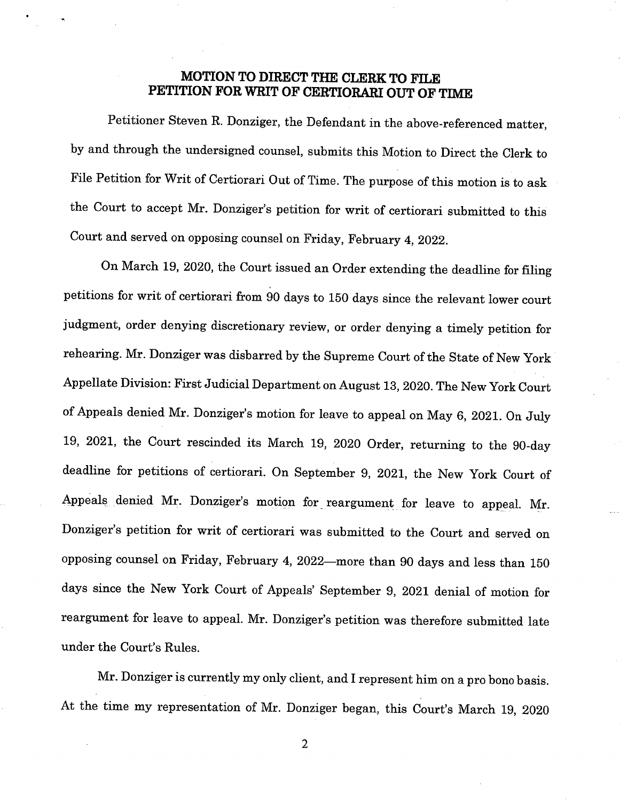## **MOTION TO DIRECT THE CLERK TO FILE PETITION FOR WRIT OF CERTIORARI OUT OF TIME**

Petitioner Steven R. Donziger, the Defendant in the above-referenced matter, by and through the undersigned counsel, submits this Motion to Direct the Clerk to File Petition for Writ of Certiorari Out of Time. The purpose of this motion is to ask the Court to accept Mr. Donziger's petition for writ of certiorari submitted to this Court and served on opposing counsel on Friday, February 4, 2022.

On March 19, 2020, the Court issued an Order extending the deadline for filing petitions for writ of certiorari from 90 days to 150 days since the relevant lower court judgment, order denying discretionary review, or order denying a timely petition for rehearing. Mr. Donziger was disbarred by the Supreme Court of the State of New York Appellate Division: First Judicial Department on August 13, 2020. The New York Court of Appeals denied Mr. Donziger's motion for leave to appeal on May 6, 2021. On July 19, 2021, the Court rescinded its March 19, 2020 Order, returning to the 90-day deadline for petitions of certiorari. On September 9, 2021, the New York Court of Appeals denied Mr. Donziger's motion for reargument for leave to appeal. Mr. Donziger's petition for writ of certiorari was submitted to the Court and served on opposing counsel on Friday, February 4, 2022—more than 90 days and less than 150 days since the New York Court of Appeals' September 9, 2021 denial of motion for reargument for leave to appeal. Mr. Donziger's petition was therefore submitted late under the Court's Rules.

Mr. Donziger is currently my only client, and I represent him on a pro bono basis. At the time my representation of Mr. Donziger began, this Court's March 19, 2020